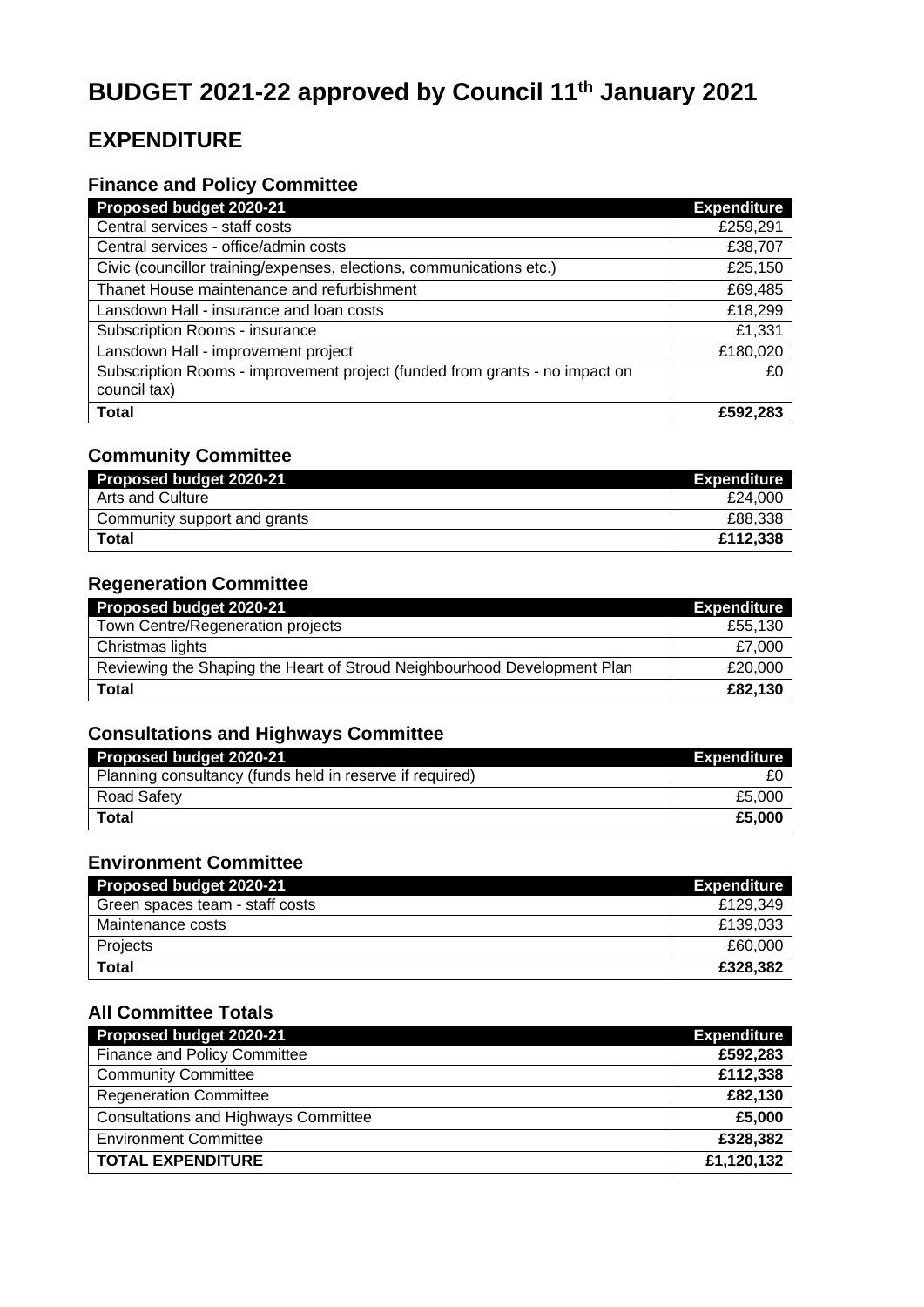# **BUDGET 2021-22 approved by Council 11th January 2021**

# **EXPENDITURE**

#### **Finance and Policy Committee**

| Proposed budget 2020-21                                                                     | <b>Expenditure</b> |
|---------------------------------------------------------------------------------------------|--------------------|
| Central services - staff costs                                                              | £259,291           |
| Central services - office/admin costs                                                       | £38,707            |
| Civic (councillor training/expenses, elections, communications etc.)                        | £25,150            |
| Thanet House maintenance and refurbishment                                                  | £69,485            |
| Lansdown Hall - insurance and loan costs                                                    | £18,299            |
| Subscription Rooms - insurance                                                              | £1,331             |
| Lansdown Hall - improvement project                                                         | £180,020           |
| Subscription Rooms - improvement project (funded from grants - no impact on<br>council tax) | £0                 |
| <b>Total</b>                                                                                | £592,283           |

#### **Community Committee**

| Proposed budget 2020-21      | <b>Expenditure</b> |
|------------------------------|--------------------|
| Arts and Culture             | £24.000            |
| Community support and grants | £88,338            |
| <b>Total</b>                 | £112,338           |

## **Regeneration Committee**

| Proposed budget 2020-21                                                  | <b>Expenditure</b> |
|--------------------------------------------------------------------------|--------------------|
| Town Centre/Regeneration projects                                        | £55.130            |
| Christmas lights                                                         | £7,000             |
| Reviewing the Shaping the Heart of Stroud Neighbourhood Development Plan | £20,000            |
| <b>Total</b>                                                             | £82.130            |

#### **Consultations and Highways Committee**

| Proposed budget 2020-21                                  | <b>Expenditure</b> |
|----------------------------------------------------------|--------------------|
| Planning consultancy (funds held in reserve if required) |                    |
| <b>Road Safety</b>                                       | £5,000             |
| <b>Total</b>                                             | £5,000             |

## **Environment Committee**

| Proposed budget 2020-21         | <b>Expenditure</b> |
|---------------------------------|--------------------|
| Green spaces team - staff costs | £129.349           |
| Maintenance costs               | £139.033           |
| Projects                        | £60,000            |
| Total                           | £328.382           |

#### **All Committee Totals**

| Proposed budget 2020-21                     | <b>Expenditure</b> |
|---------------------------------------------|--------------------|
| Finance and Policy Committee                | £592,283           |
| <b>Community Committee</b>                  | £112,338           |
| <b>Regeneration Committee</b>               | £82,130            |
| <b>Consultations and Highways Committee</b> | £5,000             |
| <b>Environment Committee</b>                | £328,382           |
| <b>TOTAL EXPENDITURE</b>                    | £1,120,132         |